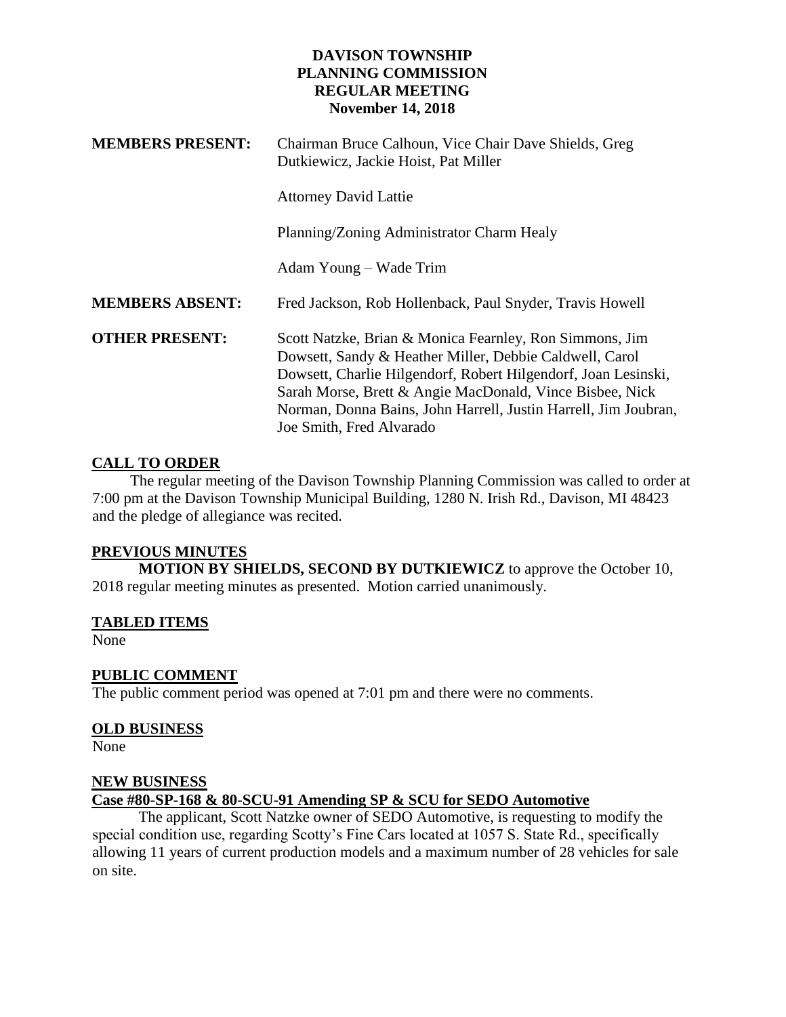| <b>MEMBERS PRESENT:</b> | Chairman Bruce Calhoun, Vice Chair Dave Shields, Greg<br>Dutkiewicz, Jackie Hoist, Pat Miller                                                                                                                                                                                                                                                   |
|-------------------------|-------------------------------------------------------------------------------------------------------------------------------------------------------------------------------------------------------------------------------------------------------------------------------------------------------------------------------------------------|
|                         | <b>Attorney David Lattie</b>                                                                                                                                                                                                                                                                                                                    |
|                         | Planning/Zoning Administrator Charm Healy                                                                                                                                                                                                                                                                                                       |
|                         | Adam Young – Wade Trim                                                                                                                                                                                                                                                                                                                          |
| <b>MEMBERS ABSENT:</b>  | Fred Jackson, Rob Hollenback, Paul Snyder, Travis Howell                                                                                                                                                                                                                                                                                        |
| <b>OTHER PRESENT:</b>   | Scott Natzke, Brian & Monica Fearnley, Ron Simmons, Jim<br>Dowsett, Sandy & Heather Miller, Debbie Caldwell, Carol<br>Dowsett, Charlie Hilgendorf, Robert Hilgendorf, Joan Lesinski,<br>Sarah Morse, Brett & Angie MacDonald, Vince Bisbee, Nick<br>Norman, Donna Bains, John Harrell, Justin Harrell, Jim Joubran,<br>Joe Smith, Fred Alvarado |

## **CALL TO ORDER**

 The regular meeting of the Davison Township Planning Commission was called to order at 7:00 pm at the Davison Township Municipal Building, 1280 N. Irish Rd., Davison, MI 48423 and the pledge of allegiance was recited.

## **PREVIOUS MINUTES**

**MOTION BY SHIELDS, SECOND BY DUTKIEWICZ** to approve the October 10, 2018 regular meeting minutes as presented. Motion carried unanimously.

## **TABLED ITEMS**

None

## **PUBLIC COMMENT**

The public comment period was opened at 7:01 pm and there were no comments.

## **OLD BUSINESS**

None

#### **NEW BUSINESS**

# **Case #80-SP-168 & 80-SCU-91 Amending SP & SCU for SEDO Automotive**

The applicant, Scott Natzke owner of SEDO Automotive, is requesting to modify the special condition use, regarding Scotty's Fine Cars located at 1057 S. State Rd., specifically allowing 11 years of current production models and a maximum number of 28 vehicles for sale on site.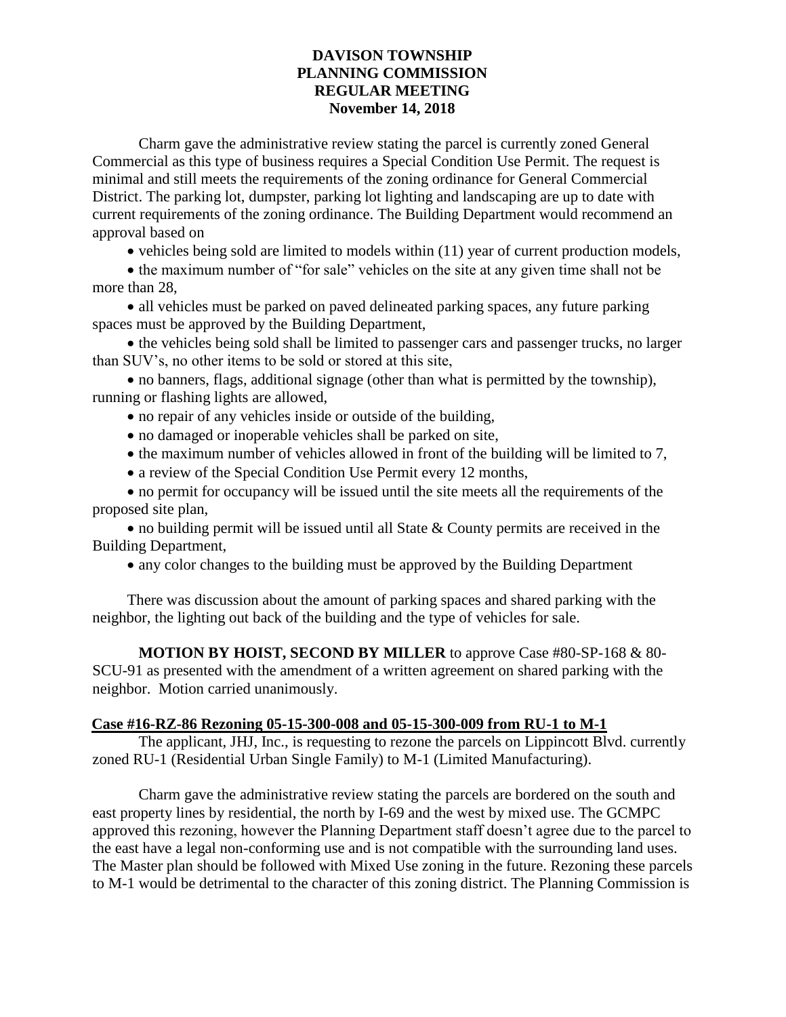Charm gave the administrative review stating the parcel is currently zoned General Commercial as this type of business requires a Special Condition Use Permit. The request is minimal and still meets the requirements of the zoning ordinance for General Commercial District. The parking lot, dumpster, parking lot lighting and landscaping are up to date with current requirements of the zoning ordinance. The Building Department would recommend an approval based on

vehicles being sold are limited to models within (11) year of current production models,

• the maximum number of "for sale" vehicles on the site at any given time shall not be more than 28,

• all vehicles must be parked on paved delineated parking spaces, any future parking spaces must be approved by the Building Department,

• the vehicles being sold shall be limited to passenger cars and passenger trucks, no larger than SUV's, no other items to be sold or stored at this site,

 no banners, flags, additional signage (other than what is permitted by the township), running or flashing lights are allowed,

- no repair of any vehicles inside or outside of the building,
- no damaged or inoperable vehicles shall be parked on site,
- the maximum number of vehicles allowed in front of the building will be limited to 7,
- a review of the Special Condition Use Permit every 12 months,

 no permit for occupancy will be issued until the site meets all the requirements of the proposed site plan,

 no building permit will be issued until all State & County permits are received in the Building Department,

any color changes to the building must be approved by the Building Department

There was discussion about the amount of parking spaces and shared parking with the neighbor, the lighting out back of the building and the type of vehicles for sale.

**MOTION BY HOIST, SECOND BY MILLER** to approve Case #80-SP-168 & 80- SCU-91 as presented with the amendment of a written agreement on shared parking with the neighbor. Motion carried unanimously.

## **Case #16-RZ-86 Rezoning 05-15-300-008 and 05-15-300-009 from RU-1 to M-1**

The applicant, JHJ, Inc., is requesting to rezone the parcels on Lippincott Blvd. currently zoned RU-1 (Residential Urban Single Family) to M-1 (Limited Manufacturing).

Charm gave the administrative review stating the parcels are bordered on the south and east property lines by residential, the north by I-69 and the west by mixed use. The GCMPC approved this rezoning, however the Planning Department staff doesn't agree due to the parcel to the east have a legal non-conforming use and is not compatible with the surrounding land uses. The Master plan should be followed with Mixed Use zoning in the future. Rezoning these parcels to M-1 would be detrimental to the character of this zoning district. The Planning Commission is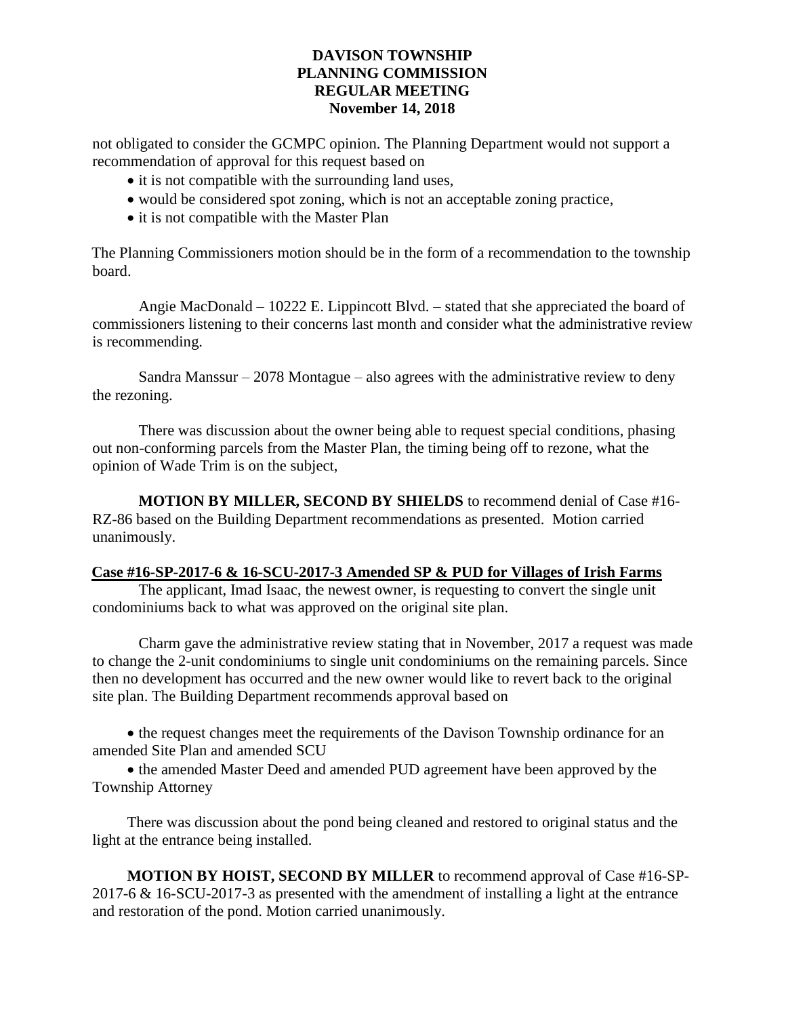not obligated to consider the GCMPC opinion. The Planning Department would not support a recommendation of approval for this request based on

- it is not compatible with the surrounding land uses,
- would be considered spot zoning, which is not an acceptable zoning practice,
- it is not compatible with the Master Plan

The Planning Commissioners motion should be in the form of a recommendation to the township board.

Angie MacDonald – 10222 E. Lippincott Blvd. – stated that she appreciated the board of commissioners listening to their concerns last month and consider what the administrative review is recommending.

Sandra Manssur  $-2078$  Montague – also agrees with the administrative review to deny the rezoning.

There was discussion about the owner being able to request special conditions, phasing out non-conforming parcels from the Master Plan, the timing being off to rezone, what the opinion of Wade Trim is on the subject,

**MOTION BY MILLER, SECOND BY SHIELDS** to recommend denial of Case #16- RZ-86 based on the Building Department recommendations as presented. Motion carried unanimously.

# **Case #16-SP-2017-6 & 16-SCU-2017-3 Amended SP & PUD for Villages of Irish Farms**

The applicant, Imad Isaac, the newest owner, is requesting to convert the single unit condominiums back to what was approved on the original site plan.

Charm gave the administrative review stating that in November, 2017 a request was made to change the 2-unit condominiums to single unit condominiums on the remaining parcels. Since then no development has occurred and the new owner would like to revert back to the original site plan. The Building Department recommends approval based on

• the request changes meet the requirements of the Davison Township ordinance for an amended Site Plan and amended SCU

• the amended Master Deed and amended PUD agreement have been approved by the Township Attorney

There was discussion about the pond being cleaned and restored to original status and the light at the entrance being installed.

**MOTION BY HOIST, SECOND BY MILLER** to recommend approval of Case #16-SP-2017-6 & 16-SCU-2017-3 as presented with the amendment of installing a light at the entrance and restoration of the pond. Motion carried unanimously.